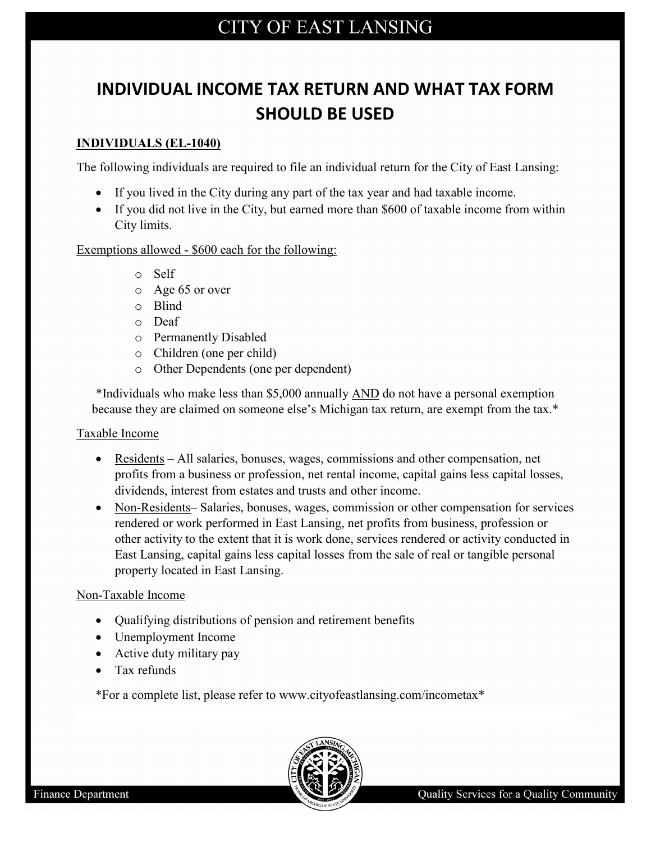## **CITY OF EAST LANSING**

# **INDIVIDUAL INCOME TAX RETURN AND WHAT TAX FORM SHOULD BE USED**

### **INDIVIDUALS (EL-1040)**

The following individuals are required to file an individual return for the City of East Lansing:

- If you lived in the City during any part of the tax year and had taxable income.
- If you did not live in the City, but earned more than \$600 of taxable income from within City limits.

#### Exemptions allowed - \$600 each for the following:

- o Self
- o Age 65 or over
- o Blind
- o Deaf
- o Permanently Disabled
- o Children (one per child)
- o Other Dependents (one per dependent)

\*Individuals who make less than  $$5,000$  annually  $\triangle$ ND do not have a personal exemption because they are claimed on someone else's Michigan tax return, are exempt from the tax.\*

#### Taxable Income

- Residents All salaries, bonuses, wages, commissions and other compensation, net profits from a business or profession, net rental income, capital gains less capital losses, dividends, interest from estates and trusts and other income.
- Non-Residents– Salaries, bonuses, wages, commission or other compensation for services rendered or work performed in East Lansing, net profits from business, profession or other activity to the extent that it is work done, services rendered or activity conducted in East Lansing, capital gains less capital losses from the sale of real or tangible personal property located in East Lansing.

### Non-Taxable Income

- Qualifying distributions of pension and retirement benefits
- Unemployment Income
- Active duty military pay
- Tax refunds

\*For a complete list, please refer to www.cityofeastlansing.com/incometax\*